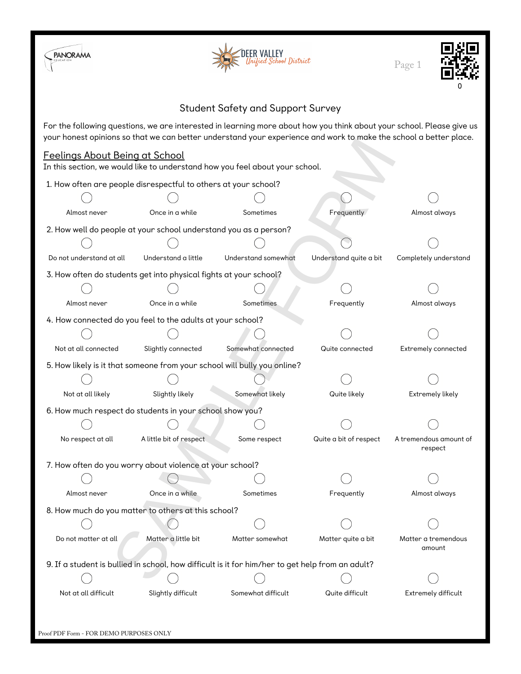